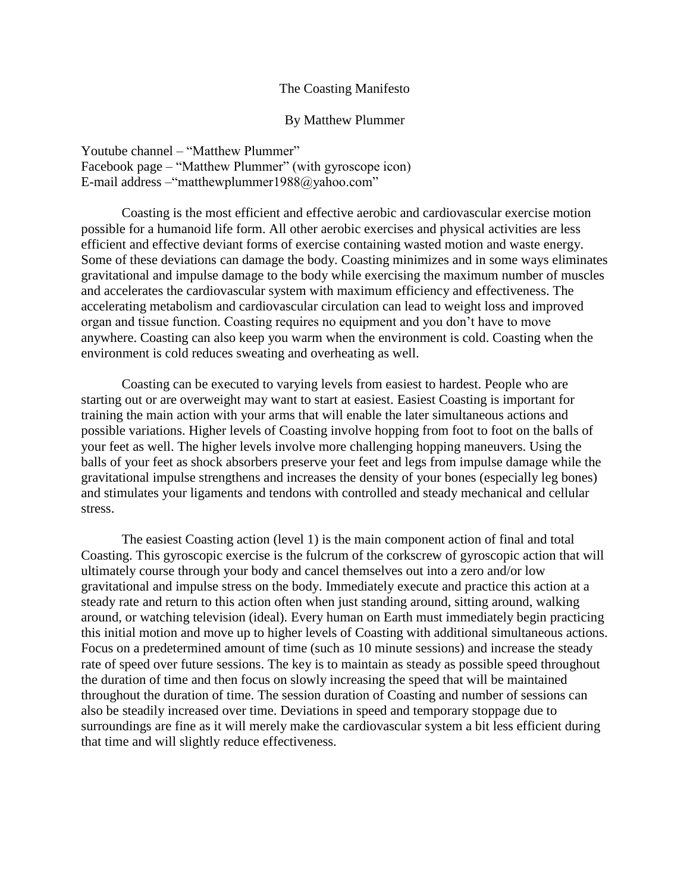#### The Coasting Manifesto

#### By Matthew Plummer

Youtube channel – "Matthew Plummer" Facebook page – "Matthew Plummer" (with gyroscope icon) E-mail address –"matthewplummer1988@yahoo.com"

Coasting is the most efficient and effective aerobic and cardiovascular exercise motion possible for a humanoid life form. All other aerobic exercises and physical activities are less efficient and effective deviant forms of exercise containing wasted motion and waste energy. Some of these deviations can damage the body. Coasting minimizes and in some ways eliminates gravitational and impulse damage to the body while exercising the maximum number of muscles and accelerates the cardiovascular system with maximum efficiency and effectiveness. The accelerating metabolism and cardiovascular circulation can lead to weight loss and improved organ and tissue function. Coasting requires no equipment and you don't have to move anywhere. Coasting can also keep you warm when the environment is cold. Coasting when the environment is cold reduces sweating and overheating as well.

Coasting can be executed to varying levels from easiest to hardest. People who are starting out or are overweight may want to start at easiest. Easiest Coasting is important for training the main action with your arms that will enable the later simultaneous actions and possible variations. Higher levels of Coasting involve hopping from foot to foot on the balls of your feet as well. The higher levels involve more challenging hopping maneuvers. Using the balls of your feet as shock absorbers preserve your feet and legs from impulse damage while the gravitational impulse strengthens and increases the density of your bones (especially leg bones) and stimulates your ligaments and tendons with controlled and steady mechanical and cellular stress.

The easiest Coasting action (level 1) is the main component action of final and total Coasting. This gyroscopic exercise is the fulcrum of the corkscrew of gyroscopic action that will ultimately course through your body and cancel themselves out into a zero and/or low gravitational and impulse stress on the body. Immediately execute and practice this action at a steady rate and return to this action often when just standing around, sitting around, walking around, or watching television (ideal). Every human on Earth must immediately begin practicing this initial motion and move up to higher levels of Coasting with additional simultaneous actions. Focus on a predetermined amount of time (such as 10 minute sessions) and increase the steady rate of speed over future sessions. The key is to maintain as steady as possible speed throughout the duration of time and then focus on slowly increasing the speed that will be maintained throughout the duration of time. The session duration of Coasting and number of sessions can also be steadily increased over time. Deviations in speed and temporary stoppage due to surroundings are fine as it will merely make the cardiovascular system a bit less efficient during that time and will slightly reduce effectiveness.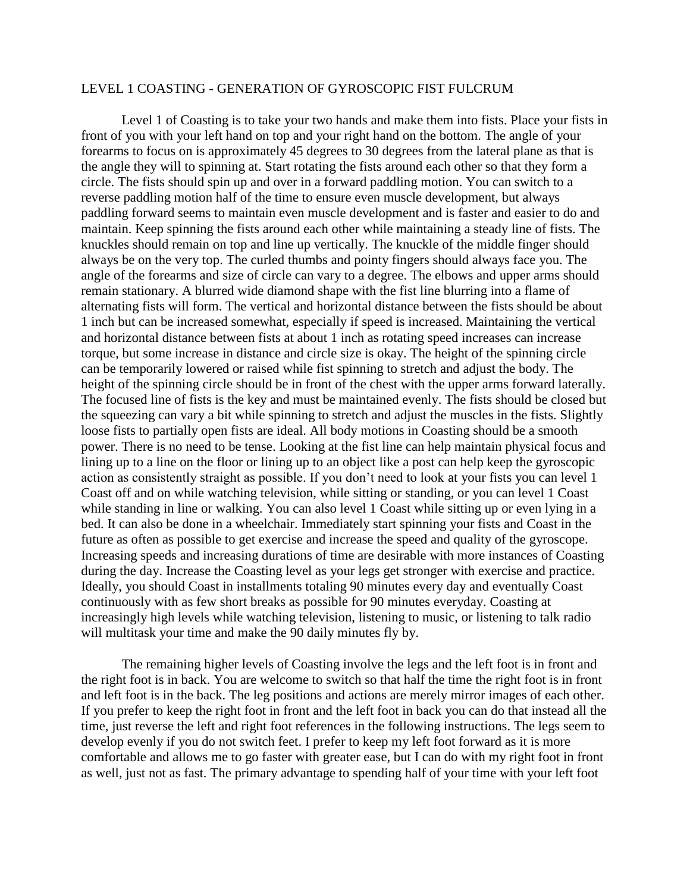### LEVEL 1 COASTING - GENERATION OF GYROSCOPIC FIST FULCRUM

Level 1 of Coasting is to take your two hands and make them into fists. Place your fists in front of you with your left hand on top and your right hand on the bottom. The angle of your forearms to focus on is approximately 45 degrees to 30 degrees from the lateral plane as that is the angle they will to spinning at. Start rotating the fists around each other so that they form a circle. The fists should spin up and over in a forward paddling motion. You can switch to a reverse paddling motion half of the time to ensure even muscle development, but always paddling forward seems to maintain even muscle development and is faster and easier to do and maintain. Keep spinning the fists around each other while maintaining a steady line of fists. The knuckles should remain on top and line up vertically. The knuckle of the middle finger should always be on the very top. The curled thumbs and pointy fingers should always face you. The angle of the forearms and size of circle can vary to a degree. The elbows and upper arms should remain stationary. A blurred wide diamond shape with the fist line blurring into a flame of alternating fists will form. The vertical and horizontal distance between the fists should be about 1 inch but can be increased somewhat, especially if speed is increased. Maintaining the vertical and horizontal distance between fists at about 1 inch as rotating speed increases can increase torque, but some increase in distance and circle size is okay. The height of the spinning circle can be temporarily lowered or raised while fist spinning to stretch and adjust the body. The height of the spinning circle should be in front of the chest with the upper arms forward laterally. The focused line of fists is the key and must be maintained evenly. The fists should be closed but the squeezing can vary a bit while spinning to stretch and adjust the muscles in the fists. Slightly loose fists to partially open fists are ideal. All body motions in Coasting should be a smooth power. There is no need to be tense. Looking at the fist line can help maintain physical focus and lining up to a line on the floor or lining up to an object like a post can help keep the gyroscopic action as consistently straight as possible. If you don't need to look at your fists you can level 1 Coast off and on while watching television, while sitting or standing, or you can level 1 Coast while standing in line or walking. You can also level 1 Coast while sitting up or even lying in a bed. It can also be done in a wheelchair. Immediately start spinning your fists and Coast in the future as often as possible to get exercise and increase the speed and quality of the gyroscope. Increasing speeds and increasing durations of time are desirable with more instances of Coasting during the day. Increase the Coasting level as your legs get stronger with exercise and practice. Ideally, you should Coast in installments totaling 90 minutes every day and eventually Coast continuously with as few short breaks as possible for 90 minutes everyday. Coasting at increasingly high levels while watching television, listening to music, or listening to talk radio will multitask your time and make the 90 daily minutes fly by.

The remaining higher levels of Coasting involve the legs and the left foot is in front and the right foot is in back. You are welcome to switch so that half the time the right foot is in front and left foot is in the back. The leg positions and actions are merely mirror images of each other. If you prefer to keep the right foot in front and the left foot in back you can do that instead all the time, just reverse the left and right foot references in the following instructions. The legs seem to develop evenly if you do not switch feet. I prefer to keep my left foot forward as it is more comfortable and allows me to go faster with greater ease, but I can do with my right foot in front as well, just not as fast. The primary advantage to spending half of your time with your left foot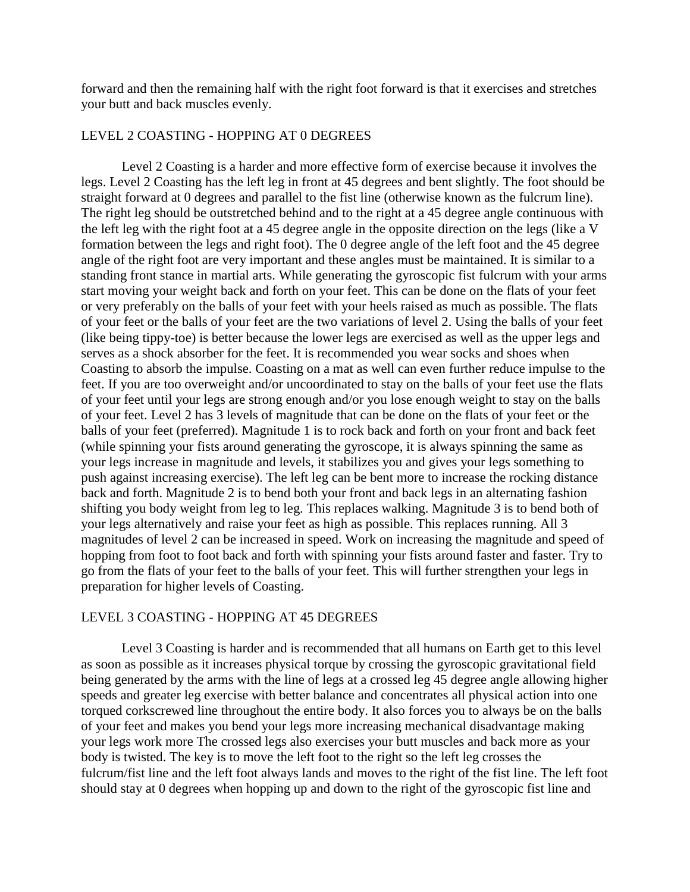forward and then the remaining half with the right foot forward is that it exercises and stretches your butt and back muscles evenly.

# LEVEL 2 COASTING - HOPPING AT 0 DEGREES

Level 2 Coasting is a harder and more effective form of exercise because it involves the legs. Level 2 Coasting has the left leg in front at 45 degrees and bent slightly. The foot should be straight forward at 0 degrees and parallel to the fist line (otherwise known as the fulcrum line). The right leg should be outstretched behind and to the right at a 45 degree angle continuous with the left leg with the right foot at a 45 degree angle in the opposite direction on the legs (like a V formation between the legs and right foot). The 0 degree angle of the left foot and the 45 degree angle of the right foot are very important and these angles must be maintained. It is similar to a standing front stance in martial arts. While generating the gyroscopic fist fulcrum with your arms start moving your weight back and forth on your feet. This can be done on the flats of your feet or very preferably on the balls of your feet with your heels raised as much as possible. The flats of your feet or the balls of your feet are the two variations of level 2. Using the balls of your feet (like being tippy-toe) is better because the lower legs are exercised as well as the upper legs and serves as a shock absorber for the feet. It is recommended you wear socks and shoes when Coasting to absorb the impulse. Coasting on a mat as well can even further reduce impulse to the feet. If you are too overweight and/or uncoordinated to stay on the balls of your feet use the flats of your feet until your legs are strong enough and/or you lose enough weight to stay on the balls of your feet. Level 2 has 3 levels of magnitude that can be done on the flats of your feet or the balls of your feet (preferred). Magnitude 1 is to rock back and forth on your front and back feet (while spinning your fists around generating the gyroscope, it is always spinning the same as your legs increase in magnitude and levels, it stabilizes you and gives your legs something to push against increasing exercise). The left leg can be bent more to increase the rocking distance back and forth. Magnitude 2 is to bend both your front and back legs in an alternating fashion shifting you body weight from leg to leg. This replaces walking. Magnitude 3 is to bend both of your legs alternatively and raise your feet as high as possible. This replaces running. All 3 magnitudes of level 2 can be increased in speed. Work on increasing the magnitude and speed of hopping from foot to foot back and forth with spinning your fists around faster and faster. Try to go from the flats of your feet to the balls of your feet. This will further strengthen your legs in preparation for higher levels of Coasting.

## LEVEL 3 COASTING - HOPPING AT 45 DEGREES

Level 3 Coasting is harder and is recommended that all humans on Earth get to this level as soon as possible as it increases physical torque by crossing the gyroscopic gravitational field being generated by the arms with the line of legs at a crossed leg 45 degree angle allowing higher speeds and greater leg exercise with better balance and concentrates all physical action into one torqued corkscrewed line throughout the entire body. It also forces you to always be on the balls of your feet and makes you bend your legs more increasing mechanical disadvantage making your legs work more The crossed legs also exercises your butt muscles and back more as your body is twisted. The key is to move the left foot to the right so the left leg crosses the fulcrum/fist line and the left foot always lands and moves to the right of the fist line. The left foot should stay at 0 degrees when hopping up and down to the right of the gyroscopic fist line and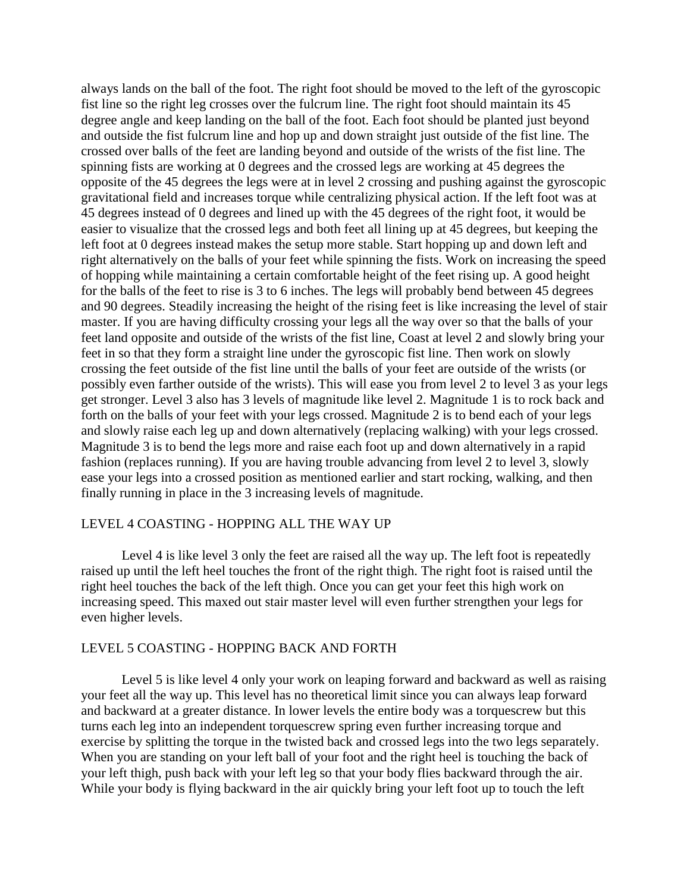always lands on the ball of the foot. The right foot should be moved to the left of the gyroscopic fist line so the right leg crosses over the fulcrum line. The right foot should maintain its 45 degree angle and keep landing on the ball of the foot. Each foot should be planted just beyond and outside the fist fulcrum line and hop up and down straight just outside of the fist line. The crossed over balls of the feet are landing beyond and outside of the wrists of the fist line. The spinning fists are working at 0 degrees and the crossed legs are working at 45 degrees the opposite of the 45 degrees the legs were at in level 2 crossing and pushing against the gyroscopic gravitational field and increases torque while centralizing physical action. If the left foot was at 45 degrees instead of 0 degrees and lined up with the 45 degrees of the right foot, it would be easier to visualize that the crossed legs and both feet all lining up at 45 degrees, but keeping the left foot at 0 degrees instead makes the setup more stable. Start hopping up and down left and right alternatively on the balls of your feet while spinning the fists. Work on increasing the speed of hopping while maintaining a certain comfortable height of the feet rising up. A good height for the balls of the feet to rise is 3 to 6 inches. The legs will probably bend between 45 degrees and 90 degrees. Steadily increasing the height of the rising feet is like increasing the level of stair master. If you are having difficulty crossing your legs all the way over so that the balls of your feet land opposite and outside of the wrists of the fist line, Coast at level 2 and slowly bring your feet in so that they form a straight line under the gyroscopic fist line. Then work on slowly crossing the feet outside of the fist line until the balls of your feet are outside of the wrists (or possibly even farther outside of the wrists). This will ease you from level 2 to level 3 as your legs get stronger. Level 3 also has 3 levels of magnitude like level 2. Magnitude 1 is to rock back and forth on the balls of your feet with your legs crossed. Magnitude 2 is to bend each of your legs and slowly raise each leg up and down alternatively (replacing walking) with your legs crossed. Magnitude 3 is to bend the legs more and raise each foot up and down alternatively in a rapid fashion (replaces running). If you are having trouble advancing from level 2 to level 3, slowly ease your legs into a crossed position as mentioned earlier and start rocking, walking, and then finally running in place in the 3 increasing levels of magnitude.

### LEVEL 4 COASTING - HOPPING ALL THE WAY UP

Level 4 is like level 3 only the feet are raised all the way up. The left foot is repeatedly raised up until the left heel touches the front of the right thigh. The right foot is raised until the right heel touches the back of the left thigh. Once you can get your feet this high work on increasing speed. This maxed out stair master level will even further strengthen your legs for even higher levels.

#### LEVEL 5 COASTING - HOPPING BACK AND FORTH

Level 5 is like level 4 only your work on leaping forward and backward as well as raising your feet all the way up. This level has no theoretical limit since you can always leap forward and backward at a greater distance. In lower levels the entire body was a torquescrew but this turns each leg into an independent torquescrew spring even further increasing torque and exercise by splitting the torque in the twisted back and crossed legs into the two legs separately. When you are standing on your left ball of your foot and the right heel is touching the back of your left thigh, push back with your left leg so that your body flies backward through the air. While your body is flying backward in the air quickly bring your left foot up to touch the left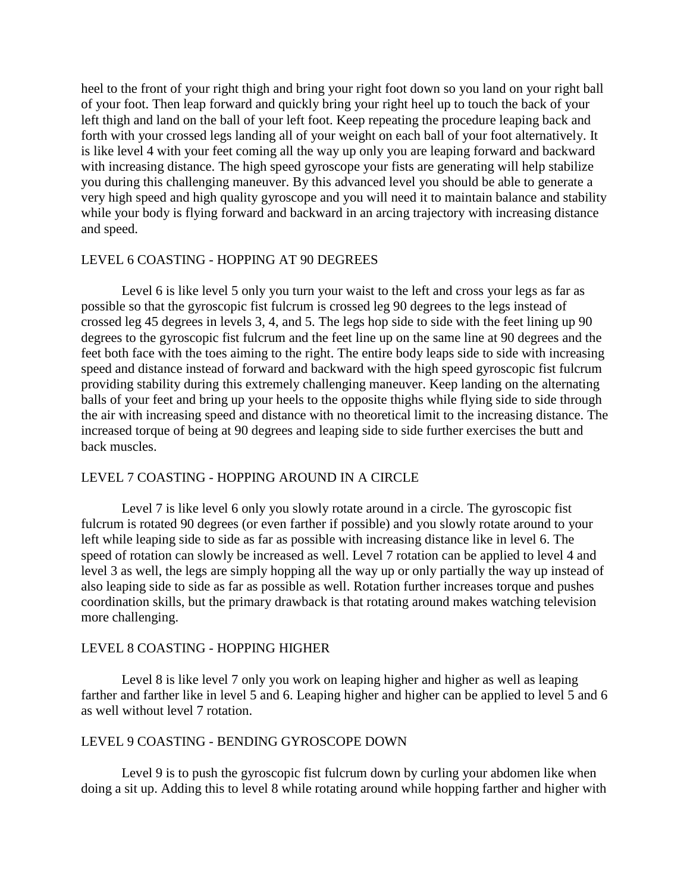heel to the front of your right thigh and bring your right foot down so you land on your right ball of your foot. Then leap forward and quickly bring your right heel up to touch the back of your left thigh and land on the ball of your left foot. Keep repeating the procedure leaping back and forth with your crossed legs landing all of your weight on each ball of your foot alternatively. It is like level 4 with your feet coming all the way up only you are leaping forward and backward with increasing distance. The high speed gyroscope your fists are generating will help stabilize you during this challenging maneuver. By this advanced level you should be able to generate a very high speed and high quality gyroscope and you will need it to maintain balance and stability while your body is flying forward and backward in an arcing trajectory with increasing distance and speed.

### LEVEL 6 COASTING - HOPPING AT 90 DEGREES

Level 6 is like level 5 only you turn your waist to the left and cross your legs as far as possible so that the gyroscopic fist fulcrum is crossed leg 90 degrees to the legs instead of crossed leg 45 degrees in levels 3, 4, and 5. The legs hop side to side with the feet lining up 90 degrees to the gyroscopic fist fulcrum and the feet line up on the same line at 90 degrees and the feet both face with the toes aiming to the right. The entire body leaps side to side with increasing speed and distance instead of forward and backward with the high speed gyroscopic fist fulcrum providing stability during this extremely challenging maneuver. Keep landing on the alternating balls of your feet and bring up your heels to the opposite thighs while flying side to side through the air with increasing speed and distance with no theoretical limit to the increasing distance. The increased torque of being at 90 degrees and leaping side to side further exercises the butt and back muscles.

## LEVEL 7 COASTING - HOPPING AROUND IN A CIRCLE

Level 7 is like level 6 only you slowly rotate around in a circle. The gyroscopic fist fulcrum is rotated 90 degrees (or even farther if possible) and you slowly rotate around to your left while leaping side to side as far as possible with increasing distance like in level 6. The speed of rotation can slowly be increased as well. Level 7 rotation can be applied to level 4 and level 3 as well, the legs are simply hopping all the way up or only partially the way up instead of also leaping side to side as far as possible as well. Rotation further increases torque and pushes coordination skills, but the primary drawback is that rotating around makes watching television more challenging.

### LEVEL 8 COASTING - HOPPING HIGHER

Level 8 is like level 7 only you work on leaping higher and higher as well as leaping farther and farther like in level 5 and 6. Leaping higher and higher can be applied to level 5 and 6 as well without level 7 rotation.

### LEVEL 9 COASTING - BENDING GYROSCOPE DOWN

Level 9 is to push the gyroscopic fist fulcrum down by curling your abdomen like when doing a sit up. Adding this to level 8 while rotating around while hopping farther and higher with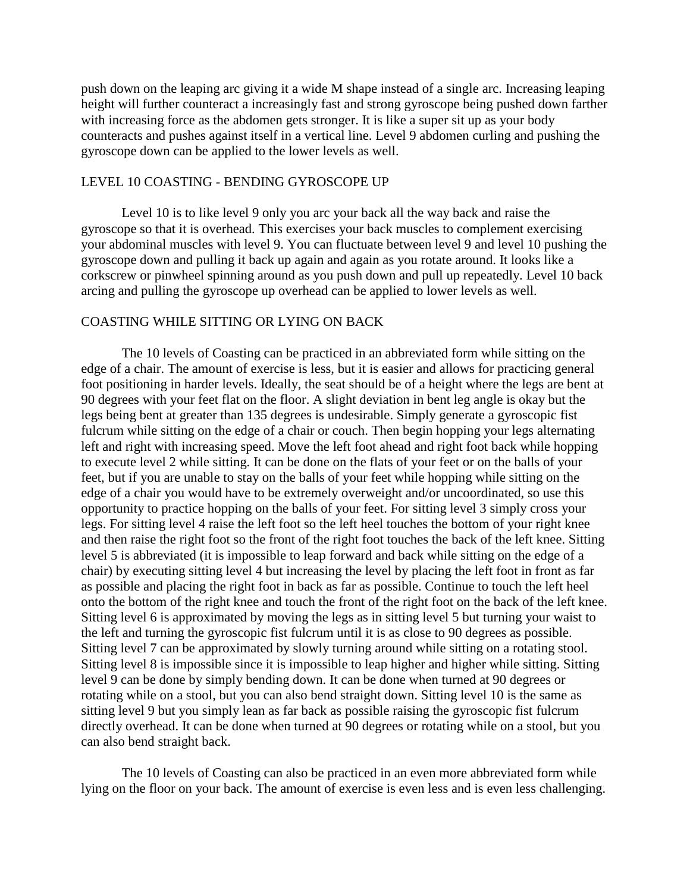push down on the leaping arc giving it a wide M shape instead of a single arc. Increasing leaping height will further counteract a increasingly fast and strong gyroscope being pushed down farther with increasing force as the abdomen gets stronger. It is like a super sit up as your body counteracts and pushes against itself in a vertical line. Level 9 abdomen curling and pushing the gyroscope down can be applied to the lower levels as well.

## LEVEL 10 COASTING - BENDING GYROSCOPE UP

Level 10 is to like level 9 only you arc your back all the way back and raise the gyroscope so that it is overhead. This exercises your back muscles to complement exercising your abdominal muscles with level 9. You can fluctuate between level 9 and level 10 pushing the gyroscope down and pulling it back up again and again as you rotate around. It looks like a corkscrew or pinwheel spinning around as you push down and pull up repeatedly. Level 10 back arcing and pulling the gyroscope up overhead can be applied to lower levels as well.

### COASTING WHILE SITTING OR LYING ON BACK

The 10 levels of Coasting can be practiced in an abbreviated form while sitting on the edge of a chair. The amount of exercise is less, but it is easier and allows for practicing general foot positioning in harder levels. Ideally, the seat should be of a height where the legs are bent at 90 degrees with your feet flat on the floor. A slight deviation in bent leg angle is okay but the legs being bent at greater than 135 degrees is undesirable. Simply generate a gyroscopic fist fulcrum while sitting on the edge of a chair or couch. Then begin hopping your legs alternating left and right with increasing speed. Move the left foot ahead and right foot back while hopping to execute level 2 while sitting. It can be done on the flats of your feet or on the balls of your feet, but if you are unable to stay on the balls of your feet while hopping while sitting on the edge of a chair you would have to be extremely overweight and/or uncoordinated, so use this opportunity to practice hopping on the balls of your feet. For sitting level 3 simply cross your legs. For sitting level 4 raise the left foot so the left heel touches the bottom of your right knee and then raise the right foot so the front of the right foot touches the back of the left knee. Sitting level 5 is abbreviated (it is impossible to leap forward and back while sitting on the edge of a chair) by executing sitting level 4 but increasing the level by placing the left foot in front as far as possible and placing the right foot in back as far as possible. Continue to touch the left heel onto the bottom of the right knee and touch the front of the right foot on the back of the left knee. Sitting level 6 is approximated by moving the legs as in sitting level 5 but turning your waist to the left and turning the gyroscopic fist fulcrum until it is as close to 90 degrees as possible. Sitting level 7 can be approximated by slowly turning around while sitting on a rotating stool. Sitting level 8 is impossible since it is impossible to leap higher and higher while sitting. Sitting level 9 can be done by simply bending down. It can be done when turned at 90 degrees or rotating while on a stool, but you can also bend straight down. Sitting level 10 is the same as sitting level 9 but you simply lean as far back as possible raising the gyroscopic fist fulcrum directly overhead. It can be done when turned at 90 degrees or rotating while on a stool, but you can also bend straight back.

The 10 levels of Coasting can also be practiced in an even more abbreviated form while lying on the floor on your back. The amount of exercise is even less and is even less challenging.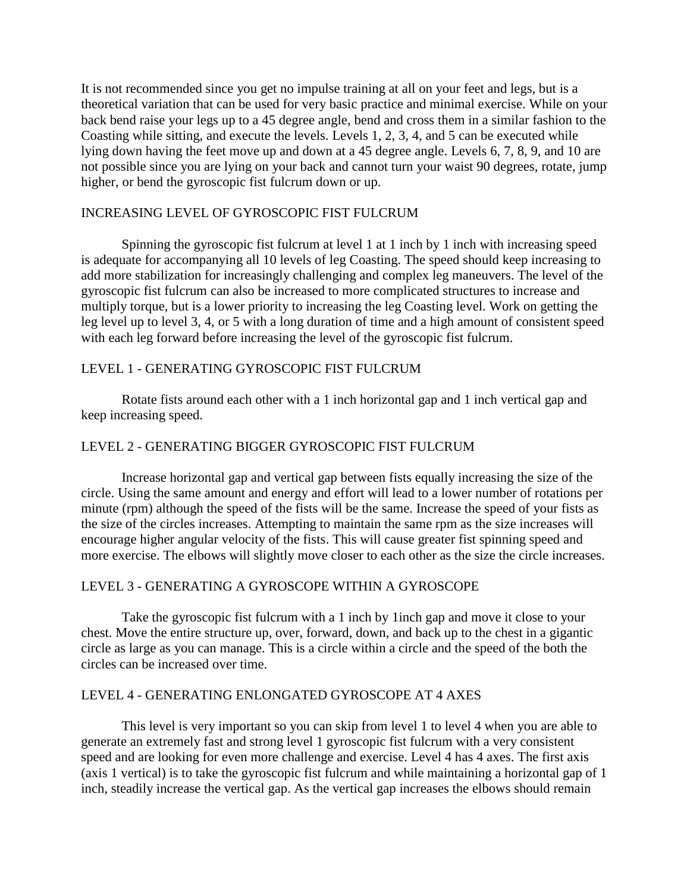It is not recommended since you get no impulse training at all on your feet and legs, but is a theoretical variation that can be used for very basic practice and minimal exercise. While on your back bend raise your legs up to a 45 degree angle, bend and cross them in a similar fashion to the Coasting while sitting, and execute the levels. Levels 1, 2, 3, 4, and 5 can be executed while lying down having the feet move up and down at a 45 degree angle. Levels 6, 7, 8, 9, and 10 are not possible since you are lying on your back and cannot turn your waist 90 degrees, rotate, jump higher, or bend the gyroscopic fist fulcrum down or up.

# INCREASING LEVEL OF GYROSCOPIC FIST FULCRUM

Spinning the gyroscopic fist fulcrum at level 1 at 1 inch by 1 inch with increasing speed is adequate for accompanying all 10 levels of leg Coasting. The speed should keep increasing to add more stabilization for increasingly challenging and complex leg maneuvers. The level of the gyroscopic fist fulcrum can also be increased to more complicated structures to increase and multiply torque, but is a lower priority to increasing the leg Coasting level. Work on getting the leg level up to level 3, 4, or 5 with a long duration of time and a high amount of consistent speed with each leg forward before increasing the level of the gyroscopic fist fulcrum.

# LEVEL 1 - GENERATING GYROSCOPIC FIST FULCRUM

Rotate fists around each other with a 1 inch horizontal gap and 1 inch vertical gap and keep increasing speed.

# LEVEL 2 - GENERATING BIGGER GYROSCOPIC FIST FULCRUM

Increase horizontal gap and vertical gap between fists equally increasing the size of the circle. Using the same amount and energy and effort will lead to a lower number of rotations per minute (rpm) although the speed of the fists will be the same. Increase the speed of your fists as the size of the circles increases. Attempting to maintain the same rpm as the size increases will encourage higher angular velocity of the fists. This will cause greater fist spinning speed and more exercise. The elbows will slightly move closer to each other as the size the circle increases.

# LEVEL 3 - GENERATING A GYROSCOPE WITHIN A GYROSCOPE

Take the gyroscopic fist fulcrum with a 1 inch by 1inch gap and move it close to your chest. Move the entire structure up, over, forward, down, and back up to the chest in a gigantic circle as large as you can manage. This is a circle within a circle and the speed of the both the circles can be increased over time.

## LEVEL 4 - GENERATING ENLONGATED GYROSCOPE AT 4 AXES

This level is very important so you can skip from level 1 to level 4 when you are able to generate an extremely fast and strong level 1 gyroscopic fist fulcrum with a very consistent speed and are looking for even more challenge and exercise. Level 4 has 4 axes. The first axis (axis 1 vertical) is to take the gyroscopic fist fulcrum and while maintaining a horizontal gap of 1 inch, steadily increase the vertical gap. As the vertical gap increases the elbows should remain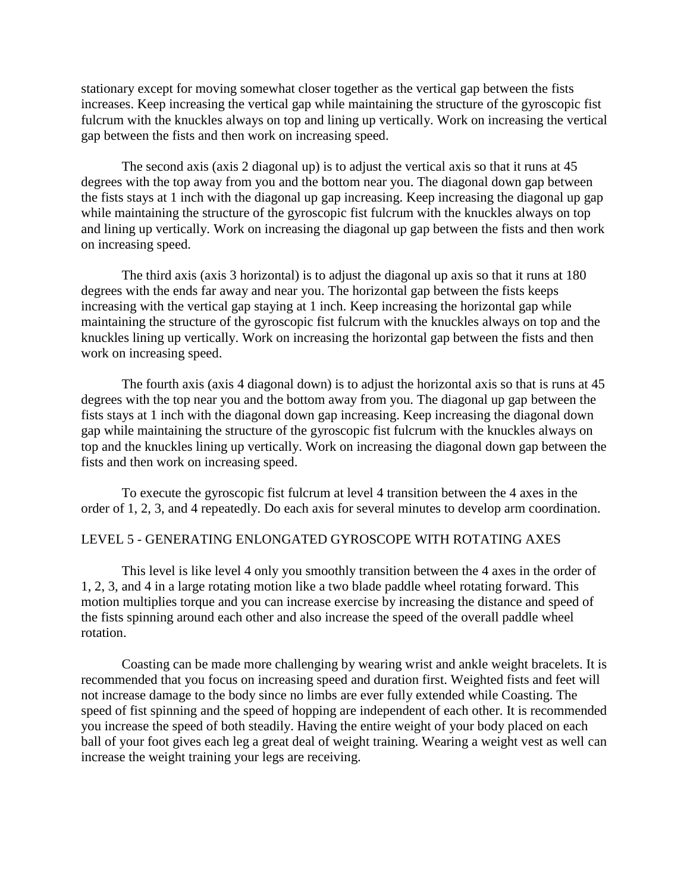stationary except for moving somewhat closer together as the vertical gap between the fists increases. Keep increasing the vertical gap while maintaining the structure of the gyroscopic fist fulcrum with the knuckles always on top and lining up vertically. Work on increasing the vertical gap between the fists and then work on increasing speed.

The second axis (axis 2 diagonal up) is to adjust the vertical axis so that it runs at 45 degrees with the top away from you and the bottom near you. The diagonal down gap between the fists stays at 1 inch with the diagonal up gap increasing. Keep increasing the diagonal up gap while maintaining the structure of the gyroscopic fist fulcrum with the knuckles always on top and lining up vertically. Work on increasing the diagonal up gap between the fists and then work on increasing speed.

The third axis (axis 3 horizontal) is to adjust the diagonal up axis so that it runs at 180 degrees with the ends far away and near you. The horizontal gap between the fists keeps increasing with the vertical gap staying at 1 inch. Keep increasing the horizontal gap while maintaining the structure of the gyroscopic fist fulcrum with the knuckles always on top and the knuckles lining up vertically. Work on increasing the horizontal gap between the fists and then work on increasing speed.

The fourth axis (axis 4 diagonal down) is to adjust the horizontal axis so that is runs at 45 degrees with the top near you and the bottom away from you. The diagonal up gap between the fists stays at 1 inch with the diagonal down gap increasing. Keep increasing the diagonal down gap while maintaining the structure of the gyroscopic fist fulcrum with the knuckles always on top and the knuckles lining up vertically. Work on increasing the diagonal down gap between the fists and then work on increasing speed.

To execute the gyroscopic fist fulcrum at level 4 transition between the 4 axes in the order of 1, 2, 3, and 4 repeatedly. Do each axis for several minutes to develop arm coordination.

### LEVEL 5 - GENERATING ENLONGATED GYROSCOPE WITH ROTATING AXES

This level is like level 4 only you smoothly transition between the 4 axes in the order of 1, 2, 3, and 4 in a large rotating motion like a two blade paddle wheel rotating forward. This motion multiplies torque and you can increase exercise by increasing the distance and speed of the fists spinning around each other and also increase the speed of the overall paddle wheel rotation.

Coasting can be made more challenging by wearing wrist and ankle weight bracelets. It is recommended that you focus on increasing speed and duration first. Weighted fists and feet will not increase damage to the body since no limbs are ever fully extended while Coasting. The speed of fist spinning and the speed of hopping are independent of each other. It is recommended you increase the speed of both steadily. Having the entire weight of your body placed on each ball of your foot gives each leg a great deal of weight training. Wearing a weight vest as well can increase the weight training your legs are receiving.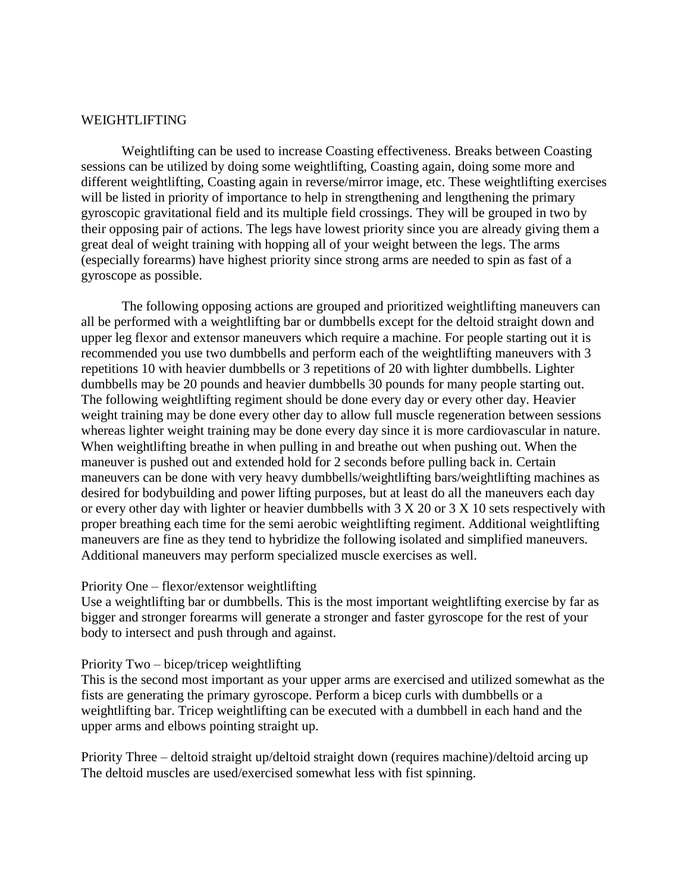### WEIGHTLIFTING

Weightlifting can be used to increase Coasting effectiveness. Breaks between Coasting sessions can be utilized by doing some weightlifting, Coasting again, doing some more and different weightlifting, Coasting again in reverse/mirror image, etc. These weightlifting exercises will be listed in priority of importance to help in strengthening and lengthening the primary gyroscopic gravitational field and its multiple field crossings. They will be grouped in two by their opposing pair of actions. The legs have lowest priority since you are already giving them a great deal of weight training with hopping all of your weight between the legs. The arms (especially forearms) have highest priority since strong arms are needed to spin as fast of a gyroscope as possible.

The following opposing actions are grouped and prioritized weightlifting maneuvers can all be performed with a weightlifting bar or dumbbells except for the deltoid straight down and upper leg flexor and extensor maneuvers which require a machine. For people starting out it is recommended you use two dumbbells and perform each of the weightlifting maneuvers with 3 repetitions 10 with heavier dumbbells or 3 repetitions of 20 with lighter dumbbells. Lighter dumbbells may be 20 pounds and heavier dumbbells 30 pounds for many people starting out. The following weightlifting regiment should be done every day or every other day. Heavier weight training may be done every other day to allow full muscle regeneration between sessions whereas lighter weight training may be done every day since it is more cardiovascular in nature. When weightlifting breathe in when pulling in and breathe out when pushing out. When the maneuver is pushed out and extended hold for 2 seconds before pulling back in. Certain maneuvers can be done with very heavy dumbbells/weightlifting bars/weightlifting machines as desired for bodybuilding and power lifting purposes, but at least do all the maneuvers each day or every other day with lighter or heavier dumbbells with 3 X 20 or 3 X 10 sets respectively with proper breathing each time for the semi aerobic weightlifting regiment. Additional weightlifting maneuvers are fine as they tend to hybridize the following isolated and simplified maneuvers. Additional maneuvers may perform specialized muscle exercises as well.

### Priority One – flexor/extensor weightlifting

Use a weightlifting bar or dumbbells. This is the most important weightlifting exercise by far as bigger and stronger forearms will generate a stronger and faster gyroscope for the rest of your body to intersect and push through and against.

### Priority Two – bicep/tricep weightlifting

This is the second most important as your upper arms are exercised and utilized somewhat as the fists are generating the primary gyroscope. Perform a bicep curls with dumbbells or a weightlifting bar. Tricep weightlifting can be executed with a dumbbell in each hand and the upper arms and elbows pointing straight up.

Priority Three – deltoid straight up/deltoid straight down (requires machine)/deltoid arcing up The deltoid muscles are used/exercised somewhat less with fist spinning.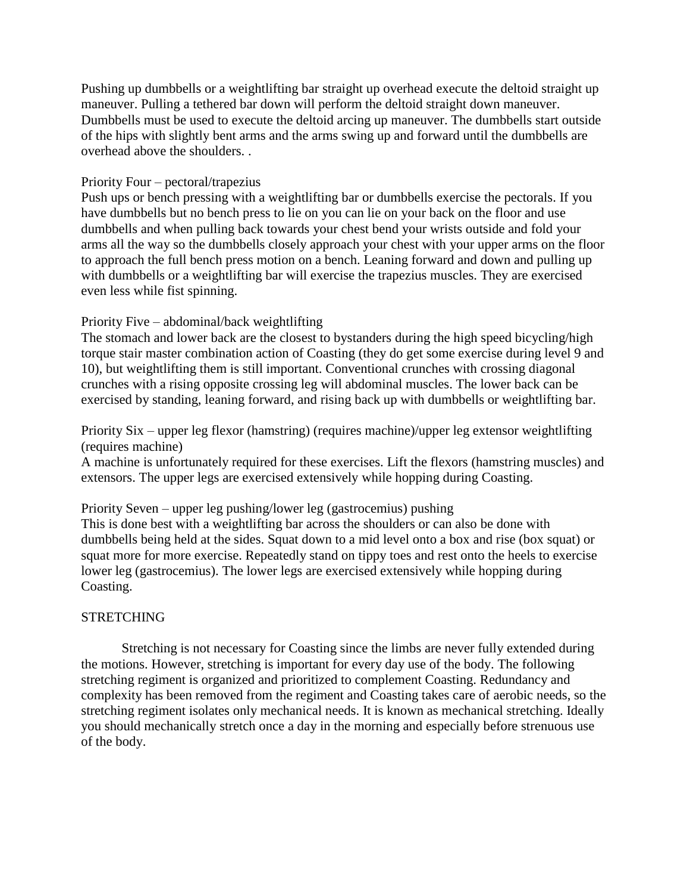Pushing up dumbbells or a weightlifting bar straight up overhead execute the deltoid straight up maneuver. Pulling a tethered bar down will perform the deltoid straight down maneuver. Dumbbells must be used to execute the deltoid arcing up maneuver. The dumbbells start outside of the hips with slightly bent arms and the arms swing up and forward until the dumbbells are overhead above the shoulders. .

## Priority Four – pectoral/trapezius

Push ups or bench pressing with a weightlifting bar or dumbbells exercise the pectorals. If you have dumbbells but no bench press to lie on you can lie on your back on the floor and use dumbbells and when pulling back towards your chest bend your wrists outside and fold your arms all the way so the dumbbells closely approach your chest with your upper arms on the floor to approach the full bench press motion on a bench. Leaning forward and down and pulling up with dumbbells or a weightlifting bar will exercise the trapezius muscles. They are exercised even less while fist spinning.

# Priority Five – abdominal/back weightlifting

The stomach and lower back are the closest to bystanders during the high speed bicycling/high torque stair master combination action of Coasting (they do get some exercise during level 9 and 10), but weightlifting them is still important. Conventional crunches with crossing diagonal crunches with a rising opposite crossing leg will abdominal muscles. The lower back can be exercised by standing, leaning forward, and rising back up with dumbbells or weightlifting bar.

# Priority Six – upper leg flexor (hamstring) (requires machine)/upper leg extensor weightlifting (requires machine)

A machine is unfortunately required for these exercises. Lift the flexors (hamstring muscles) and extensors. The upper legs are exercised extensively while hopping during Coasting.

Priority Seven – upper leg pushing/lower leg (gastrocemius) pushing

This is done best with a weightlifting bar across the shoulders or can also be done with dumbbells being held at the sides. Squat down to a mid level onto a box and rise (box squat) or squat more for more exercise. Repeatedly stand on tippy toes and rest onto the heels to exercise lower leg (gastrocemius). The lower legs are exercised extensively while hopping during Coasting.

# **STRETCHING**

Stretching is not necessary for Coasting since the limbs are never fully extended during the motions. However, stretching is important for every day use of the body. The following stretching regiment is organized and prioritized to complement Coasting. Redundancy and complexity has been removed from the regiment and Coasting takes care of aerobic needs, so the stretching regiment isolates only mechanical needs. It is known as mechanical stretching. Ideally you should mechanically stretch once a day in the morning and especially before strenuous use of the body.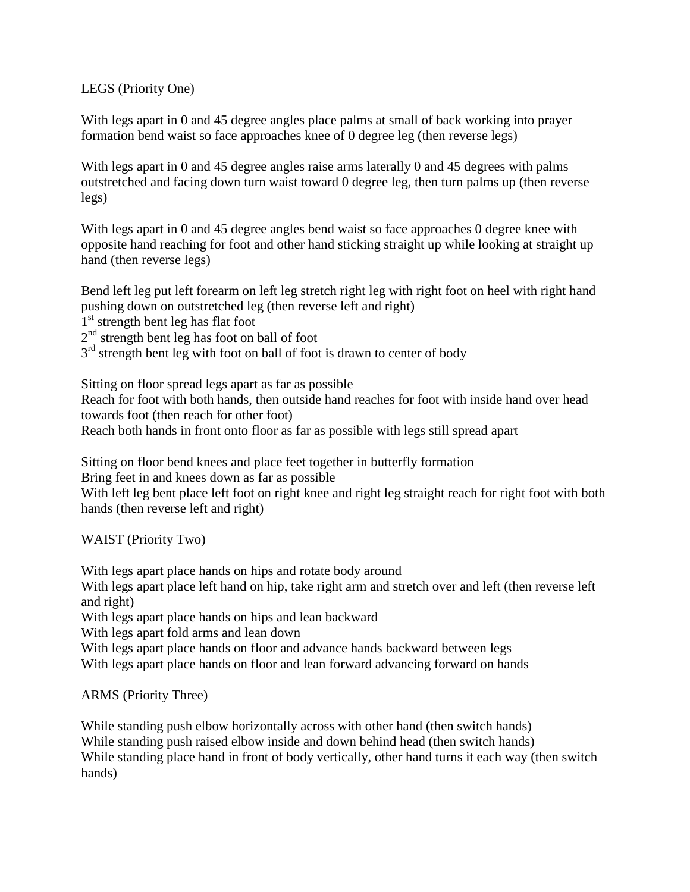LEGS (Priority One)

With legs apart in 0 and 45 degree angles place palms at small of back working into prayer formation bend waist so face approaches knee of 0 degree leg (then reverse legs)

With legs apart in 0 and 45 degree angles raise arms laterally 0 and 45 degrees with palms outstretched and facing down turn waist toward 0 degree leg, then turn palms up (then reverse legs)

With legs apart in 0 and 45 degree angles bend waist so face approaches 0 degree knee with opposite hand reaching for foot and other hand sticking straight up while looking at straight up hand (then reverse legs)

Bend left leg put left forearm on left leg stretch right leg with right foot on heel with right hand pushing down on outstretched leg (then reverse left and right) 1<sup>st</sup> strength bent leg has flat foot 2<sup>nd</sup> strength bent leg has foot on ball of foot 3<sup>rd</sup> strength bent leg with foot on ball of foot is drawn to center of body

Sitting on floor spread legs apart as far as possible Reach for foot with both hands, then outside hand reaches for foot with inside hand over head towards foot (then reach for other foot) Reach both hands in front onto floor as far as possible with legs still spread apart

Sitting on floor bend knees and place feet together in butterfly formation Bring feet in and knees down as far as possible With left leg bent place left foot on right knee and right leg straight reach for right foot with both hands (then reverse left and right)

WAIST (Priority Two)

With legs apart place hands on hips and rotate body around With legs apart place left hand on hip, take right arm and stretch over and left (then reverse left and right) With legs apart place hands on hips and lean backward With legs apart fold arms and lean down With legs apart place hands on floor and advance hands backward between legs With legs apart place hands on floor and lean forward advancing forward on hands

ARMS (Priority Three)

While standing push elbow horizontally across with other hand (then switch hands) While standing push raised elbow inside and down behind head (then switch hands) While standing place hand in front of body vertically, other hand turns it each way (then switch hands)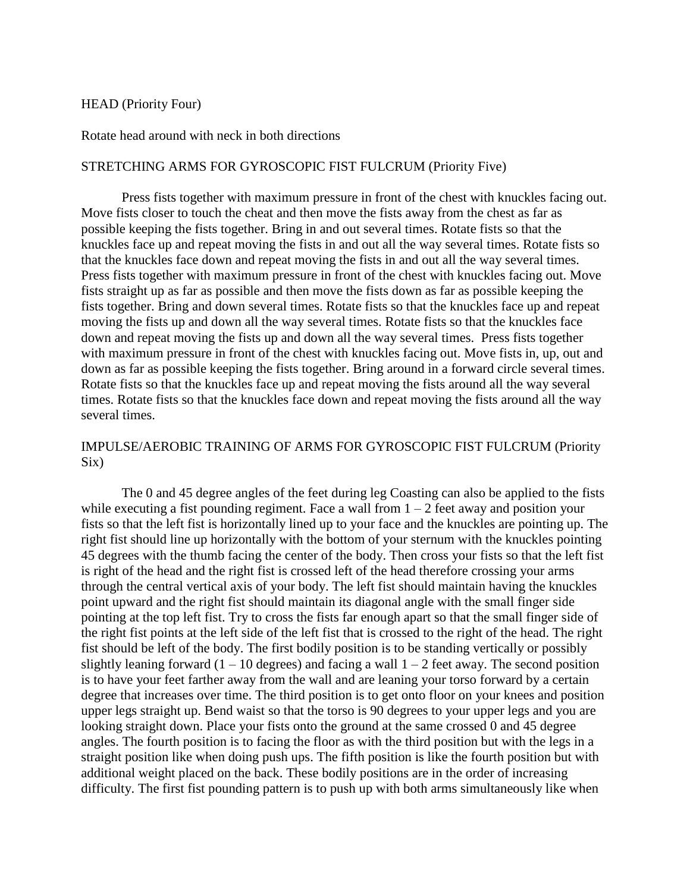### HEAD (Priority Four)

Rotate head around with neck in both directions

### STRETCHING ARMS FOR GYROSCOPIC FIST FULCRUM (Priority Five)

Press fists together with maximum pressure in front of the chest with knuckles facing out. Move fists closer to touch the cheat and then move the fists away from the chest as far as possible keeping the fists together. Bring in and out several times. Rotate fists so that the knuckles face up and repeat moving the fists in and out all the way several times. Rotate fists so that the knuckles face down and repeat moving the fists in and out all the way several times. Press fists together with maximum pressure in front of the chest with knuckles facing out. Move fists straight up as far as possible and then move the fists down as far as possible keeping the fists together. Bring and down several times. Rotate fists so that the knuckles face up and repeat moving the fists up and down all the way several times. Rotate fists so that the knuckles face down and repeat moving the fists up and down all the way several times. Press fists together with maximum pressure in front of the chest with knuckles facing out. Move fists in, up, out and down as far as possible keeping the fists together. Bring around in a forward circle several times. Rotate fists so that the knuckles face up and repeat moving the fists around all the way several times. Rotate fists so that the knuckles face down and repeat moving the fists around all the way several times.

## IMPULSE/AEROBIC TRAINING OF ARMS FOR GYROSCOPIC FIST FULCRUM (Priority Six)

The 0 and 45 degree angles of the feet during leg Coasting can also be applied to the fists while executing a fist pounding regiment. Face a wall from  $1 - 2$  feet away and position your fists so that the left fist is horizontally lined up to your face and the knuckles are pointing up. The right fist should line up horizontally with the bottom of your sternum with the knuckles pointing 45 degrees with the thumb facing the center of the body. Then cross your fists so that the left fist is right of the head and the right fist is crossed left of the head therefore crossing your arms through the central vertical axis of your body. The left fist should maintain having the knuckles point upward and the right fist should maintain its diagonal angle with the small finger side pointing at the top left fist. Try to cross the fists far enough apart so that the small finger side of the right fist points at the left side of the left fist that is crossed to the right of the head. The right fist should be left of the body. The first bodily position is to be standing vertically or possibly slightly leaning forward  $(1 - 10$  degrees) and facing a wall  $1 - 2$  feet away. The second position is to have your feet farther away from the wall and are leaning your torso forward by a certain degree that increases over time. The third position is to get onto floor on your knees and position upper legs straight up. Bend waist so that the torso is 90 degrees to your upper legs and you are looking straight down. Place your fists onto the ground at the same crossed 0 and 45 degree angles. The fourth position is to facing the floor as with the third position but with the legs in a straight position like when doing push ups. The fifth position is like the fourth position but with additional weight placed on the back. These bodily positions are in the order of increasing difficulty. The first fist pounding pattern is to push up with both arms simultaneously like when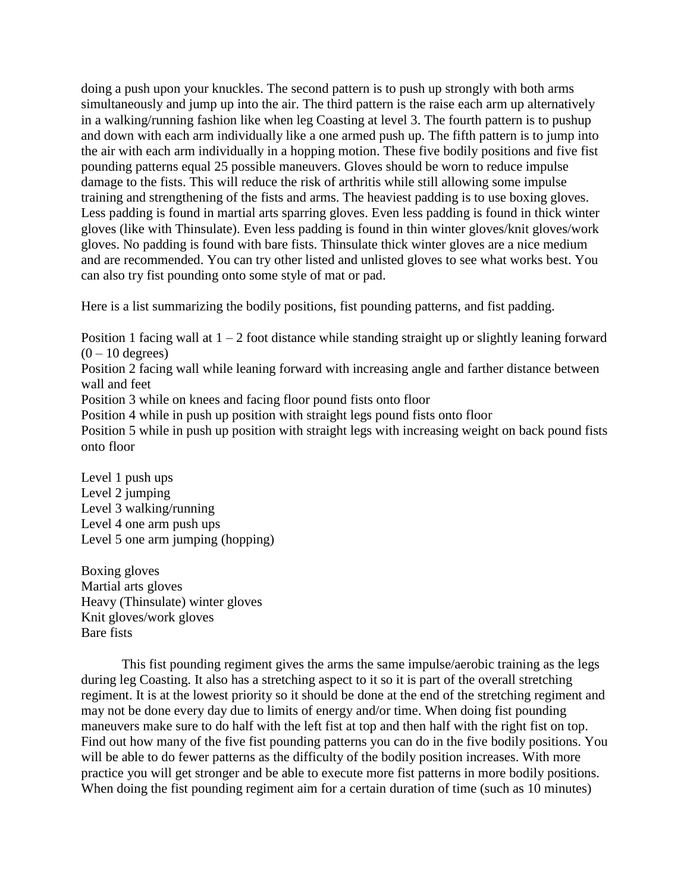doing a push upon your knuckles. The second pattern is to push up strongly with both arms simultaneously and jump up into the air. The third pattern is the raise each arm up alternatively in a walking/running fashion like when leg Coasting at level 3. The fourth pattern is to pushup and down with each arm individually like a one armed push up. The fifth pattern is to jump into the air with each arm individually in a hopping motion. These five bodily positions and five fist pounding patterns equal 25 possible maneuvers. Gloves should be worn to reduce impulse damage to the fists. This will reduce the risk of arthritis while still allowing some impulse training and strengthening of the fists and arms. The heaviest padding is to use boxing gloves. Less padding is found in martial arts sparring gloves. Even less padding is found in thick winter gloves (like with Thinsulate). Even less padding is found in thin winter gloves/knit gloves/work gloves. No padding is found with bare fists. Thinsulate thick winter gloves are a nice medium and are recommended. You can try other listed and unlisted gloves to see what works best. You can also try fist pounding onto some style of mat or pad.

Here is a list summarizing the bodily positions, fist pounding patterns, and fist padding.

Position 1 facing wall at  $1 - 2$  foot distance while standing straight up or slightly leaning forward  $(0 - 10$  degrees) Position 2 facing wall while leaning forward with increasing angle and farther distance between wall and feet

Position 3 while on knees and facing floor pound fists onto floor

Position 4 while in push up position with straight legs pound fists onto floor

Position 5 while in push up position with straight legs with increasing weight on back pound fists onto floor

Level 1 push ups Level 2 jumping Level 3 walking/running Level 4 one arm push ups Level 5 one arm jumping (hopping)

Boxing gloves Martial arts gloves Heavy (Thinsulate) winter gloves Knit gloves/work gloves Bare fists

This fist pounding regiment gives the arms the same impulse/aerobic training as the legs during leg Coasting. It also has a stretching aspect to it so it is part of the overall stretching regiment. It is at the lowest priority so it should be done at the end of the stretching regiment and may not be done every day due to limits of energy and/or time. When doing fist pounding maneuvers make sure to do half with the left fist at top and then half with the right fist on top. Find out how many of the five fist pounding patterns you can do in the five bodily positions. You will be able to do fewer patterns as the difficulty of the bodily position increases. With more practice you will get stronger and be able to execute more fist patterns in more bodily positions. When doing the fist pounding regiment aim for a certain duration of time (such as 10 minutes)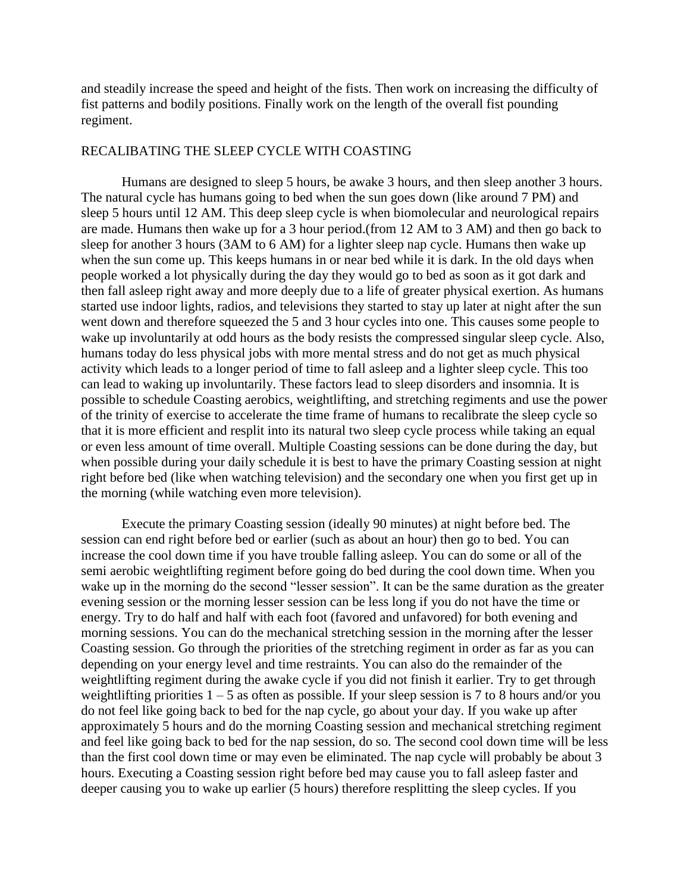and steadily increase the speed and height of the fists. Then work on increasing the difficulty of fist patterns and bodily positions. Finally work on the length of the overall fist pounding regiment.

## RECALIBATING THE SLEEP CYCLE WITH COASTING

Humans are designed to sleep 5 hours, be awake 3 hours, and then sleep another 3 hours. The natural cycle has humans going to bed when the sun goes down (like around 7 PM) and sleep 5 hours until 12 AM. This deep sleep cycle is when biomolecular and neurological repairs are made. Humans then wake up for a 3 hour period.(from 12 AM to 3 AM) and then go back to sleep for another 3 hours (3AM to 6 AM) for a lighter sleep nap cycle. Humans then wake up when the sun come up. This keeps humans in or near bed while it is dark. In the old days when people worked a lot physically during the day they would go to bed as soon as it got dark and then fall asleep right away and more deeply due to a life of greater physical exertion. As humans started use indoor lights, radios, and televisions they started to stay up later at night after the sun went down and therefore squeezed the 5 and 3 hour cycles into one. This causes some people to wake up involuntarily at odd hours as the body resists the compressed singular sleep cycle. Also, humans today do less physical jobs with more mental stress and do not get as much physical activity which leads to a longer period of time to fall asleep and a lighter sleep cycle. This too can lead to waking up involuntarily. These factors lead to sleep disorders and insomnia. It is possible to schedule Coasting aerobics, weightlifting, and stretching regiments and use the power of the trinity of exercise to accelerate the time frame of humans to recalibrate the sleep cycle so that it is more efficient and resplit into its natural two sleep cycle process while taking an equal or even less amount of time overall. Multiple Coasting sessions can be done during the day, but when possible during your daily schedule it is best to have the primary Coasting session at night right before bed (like when watching television) and the secondary one when you first get up in the morning (while watching even more television).

Execute the primary Coasting session (ideally 90 minutes) at night before bed. The session can end right before bed or earlier (such as about an hour) then go to bed. You can increase the cool down time if you have trouble falling asleep. You can do some or all of the semi aerobic weightlifting regiment before going do bed during the cool down time. When you wake up in the morning do the second "lesser session". It can be the same duration as the greater evening session or the morning lesser session can be less long if you do not have the time or energy. Try to do half and half with each foot (favored and unfavored) for both evening and morning sessions. You can do the mechanical stretching session in the morning after the lesser Coasting session. Go through the priorities of the stretching regiment in order as far as you can depending on your energy level and time restraints. You can also do the remainder of the weightlifting regiment during the awake cycle if you did not finish it earlier. Try to get through weightlifting priorities  $1 - 5$  as often as possible. If your sleep session is 7 to 8 hours and/or you do not feel like going back to bed for the nap cycle, go about your day. If you wake up after approximately 5 hours and do the morning Coasting session and mechanical stretching regiment and feel like going back to bed for the nap session, do so. The second cool down time will be less than the first cool down time or may even be eliminated. The nap cycle will probably be about 3 hours. Executing a Coasting session right before bed may cause you to fall asleep faster and deeper causing you to wake up earlier (5 hours) therefore resplitting the sleep cycles. If you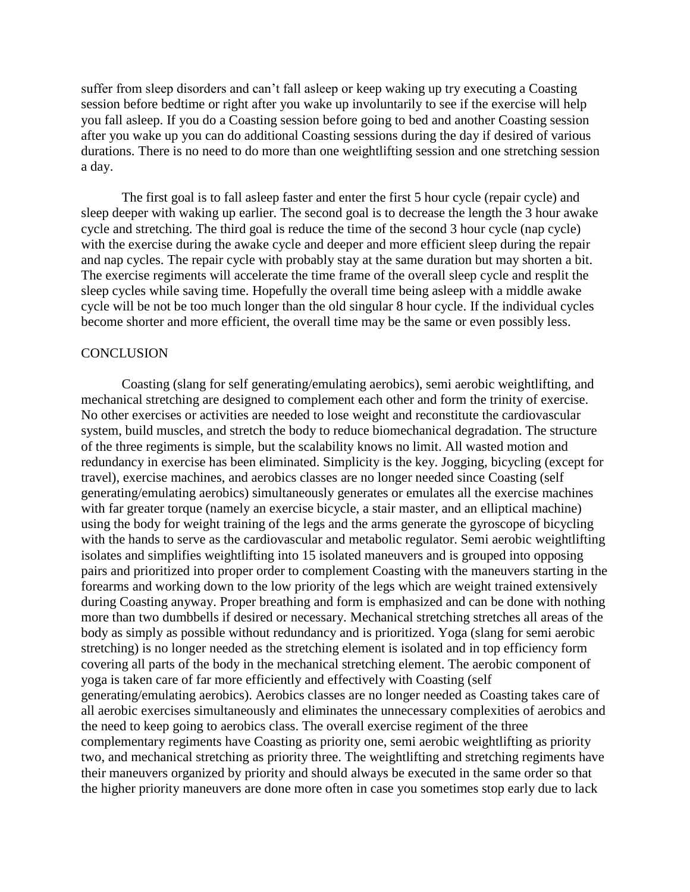suffer from sleep disorders and can't fall asleep or keep waking up try executing a Coasting session before bedtime or right after you wake up involuntarily to see if the exercise will help you fall asleep. If you do a Coasting session before going to bed and another Coasting session after you wake up you can do additional Coasting sessions during the day if desired of various durations. There is no need to do more than one weightlifting session and one stretching session a day.

The first goal is to fall asleep faster and enter the first 5 hour cycle (repair cycle) and sleep deeper with waking up earlier. The second goal is to decrease the length the 3 hour awake cycle and stretching. The third goal is reduce the time of the second 3 hour cycle (nap cycle) with the exercise during the awake cycle and deeper and more efficient sleep during the repair and nap cycles. The repair cycle with probably stay at the same duration but may shorten a bit. The exercise regiments will accelerate the time frame of the overall sleep cycle and resplit the sleep cycles while saving time. Hopefully the overall time being asleep with a middle awake cycle will be not be too much longer than the old singular 8 hour cycle. If the individual cycles become shorter and more efficient, the overall time may be the same or even possibly less.

### **CONCLUSION**

Coasting (slang for self generating/emulating aerobics), semi aerobic weightlifting, and mechanical stretching are designed to complement each other and form the trinity of exercise. No other exercises or activities are needed to lose weight and reconstitute the cardiovascular system, build muscles, and stretch the body to reduce biomechanical degradation. The structure of the three regiments is simple, but the scalability knows no limit. All wasted motion and redundancy in exercise has been eliminated. Simplicity is the key. Jogging, bicycling (except for travel), exercise machines, and aerobics classes are no longer needed since Coasting (self generating/emulating aerobics) simultaneously generates or emulates all the exercise machines with far greater torque (namely an exercise bicycle, a stair master, and an elliptical machine) using the body for weight training of the legs and the arms generate the gyroscope of bicycling with the hands to serve as the cardiovascular and metabolic regulator. Semi aerobic weightlifting isolates and simplifies weightlifting into 15 isolated maneuvers and is grouped into opposing pairs and prioritized into proper order to complement Coasting with the maneuvers starting in the forearms and working down to the low priority of the legs which are weight trained extensively during Coasting anyway. Proper breathing and form is emphasized and can be done with nothing more than two dumbbells if desired or necessary. Mechanical stretching stretches all areas of the body as simply as possible without redundancy and is prioritized. Yoga (slang for semi aerobic stretching) is no longer needed as the stretching element is isolated and in top efficiency form covering all parts of the body in the mechanical stretching element. The aerobic component of yoga is taken care of far more efficiently and effectively with Coasting (self generating/emulating aerobics). Aerobics classes are no longer needed as Coasting takes care of all aerobic exercises simultaneously and eliminates the unnecessary complexities of aerobics and the need to keep going to aerobics class. The overall exercise regiment of the three complementary regiments have Coasting as priority one, semi aerobic weightlifting as priority two, and mechanical stretching as priority three. The weightlifting and stretching regiments have their maneuvers organized by priority and should always be executed in the same order so that the higher priority maneuvers are done more often in case you sometimes stop early due to lack